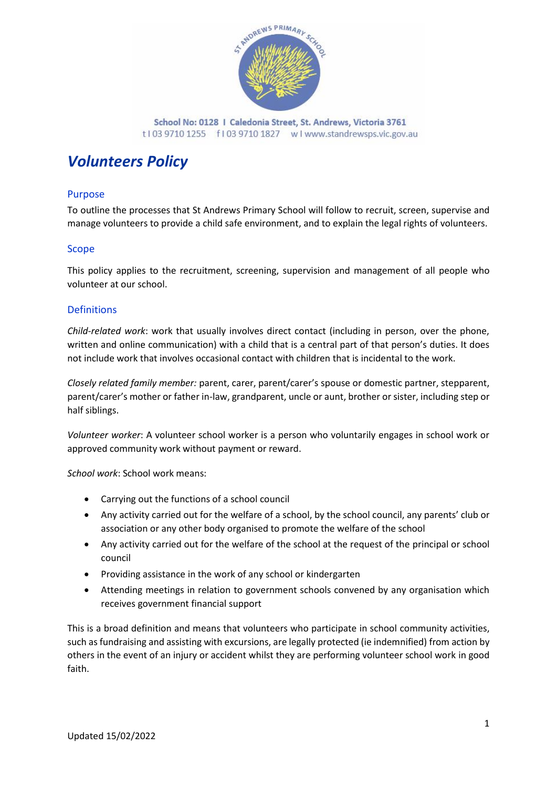

School No: 0128 | Caledonia Street, St. Andrews, Victoria 3761 t103 9710 1255 f103 9710 1827 wlwww.standrewsps.vic.gov.au

# *Volunteers Policy*

# Purpose

To outline the processes that St Andrews Primary School will follow to recruit, screen, supervise and manage volunteers to provide a child safe environment, and to explain the legal rights of volunteers.

# Scope

This policy applies to the recruitment, screening, supervision and management of all people who volunteer at our school.

## **Definitions**

*Child-related work*: work that usually involves direct contact (including in person, over the phone, written and online communication) with a child that is a central part of that person's duties. It does not include work that involves occasional contact with children that is incidental to the work.

*Closely related family member:* parent, carer, parent/carer's spouse or domestic partner, stepparent, parent/carer's mother or father in-law, grandparent, uncle or aunt, brother or sister, including step or half siblings.

*Volunteer worker*: A volunteer school worker is a person who voluntarily engages in school work or approved community work without payment or reward.

*School work*: School work means:

- Carrying out the functions of a school council
- Any activity carried out for the welfare of a school, by the school council, any parents' club or association or any other body organised to promote the welfare of the school
- Any activity carried out for the welfare of the school at the request of the principal or school council
- Providing assistance in the work of any school or kindergarten
- Attending meetings in relation to government schools convened by any organisation which receives government financial support

This is a broad definition and means that volunteers who participate in school community activities, such as fundraising and assisting with excursions, are legally protected (ie indemnified) from action by others in the event of an injury or accident whilst they are performing volunteer school work in good faith.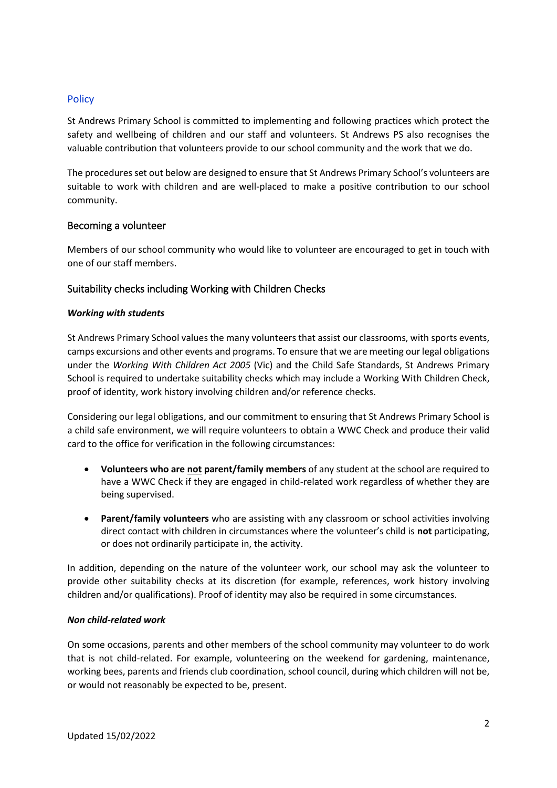# **Policy**

St Andrews Primary School is committed to implementing and following practices which protect the safety and wellbeing of children and our staff and volunteers. St Andrews PS also recognises the valuable contribution that volunteers provide to our school community and the work that we do.

The procedures set out below are designed to ensure that St Andrews Primary School's volunteers are suitable to work with children and are well-placed to make a positive contribution to our school community.

## Becoming a volunteer

Members of our school community who would like to volunteer are encouraged to get in touch with one of our staff members.

## Suitability checks including Working with Children Checks

#### *Working with students*

St Andrews Primary School values the many volunteers that assist our classrooms, with sports events, camps excursions and other events and programs. To ensure that we are meeting our legal obligations under the *Working With Children Act 2005* (Vic) and the Child Safe Standards, St Andrews Primary School is required to undertake suitability checks which may include a Working With Children Check, proof of identity, work history involving children and/or reference checks.

Considering our legal obligations, and our commitment to ensuring that St Andrews Primary School is a child safe environment, we will require volunteers to obtain a WWC Check and produce their valid card to the office for verification in the following circumstances:

- **Volunteers who are not parent/family members** of any student at the school are required to have a WWC Check if they are engaged in child-related work regardless of whether they are being supervised.
- **Parent/family volunteers** who are assisting with any classroom or school activities involving direct contact with children in circumstances where the volunteer's child is **not** participating, or does not ordinarily participate in, the activity.

In addition, depending on the nature of the volunteer work, our school may ask the volunteer to provide other suitability checks at its discretion (for example, references, work history involving children and/or qualifications). Proof of identity may also be required in some circumstances.

#### *Non child-related work*

On some occasions, parents and other members of the school community may volunteer to do work that is not child-related. For example, volunteering on the weekend for gardening, maintenance, working bees, parents and friends club coordination, school council, during which children will not be, or would not reasonably be expected to be, present.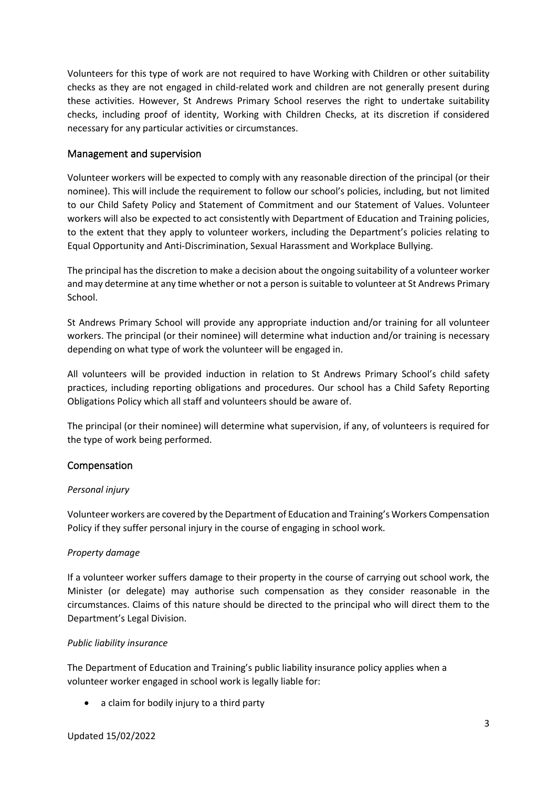Volunteers for this type of work are not required to have Working with Children or other suitability checks as they are not engaged in child-related work and children are not generally present during these activities. However, St Andrews Primary School reserves the right to undertake suitability checks, including proof of identity, Working with Children Checks, at its discretion if considered necessary for any particular activities or circumstances.

# Management and supervision

Volunteer workers will be expected to comply with any reasonable direction of the principal (or their nominee). This will include the requirement to follow our school's policies, including, but not limited to our Child Safety Policy and Statement of Commitment and our Statement of Values. Volunteer workers will also be expected to act consistently with Department of Education and Training policies, to the extent that they apply to volunteer workers, including the Department's policies relating to Equal Opportunity and Anti-Discrimination, Sexual Harassment and Workplace Bullying.

The principal has the discretion to make a decision about the ongoing suitability of a volunteer worker and may determine at any time whether or not a person is suitable to volunteer at St Andrews Primary School.

St Andrews Primary School will provide any appropriate induction and/or training for all volunteer workers. The principal (or their nominee) will determine what induction and/or training is necessary depending on what type of work the volunteer will be engaged in.

All volunteers will be provided induction in relation to St Andrews Primary School's child safety practices, including reporting obligations and procedures. Our school has a Child Safety Reporting Obligations Policy which all staff and volunteers should be aware of.

The principal (or their nominee) will determine what supervision, if any, of volunteers is required for the type of work being performed.

# Compensation

# *Personal injury*

Volunteer workers are covered by the Department of Education and Training's Workers Compensation Policy if they suffer personal injury in the course of engaging in school work.

# *Property damage*

If a volunteer worker suffers damage to their property in the course of carrying out school work, the Minister (or delegate) may authorise such compensation as they consider reasonable in the circumstances. Claims of this nature should be directed to the principal who will direct them to the Department's Legal Division.

# *Public liability insurance*

The Department of Education and Training's public liability insurance policy applies when a volunteer worker engaged in school work is legally liable for:

• a claim for bodily injury to a third party